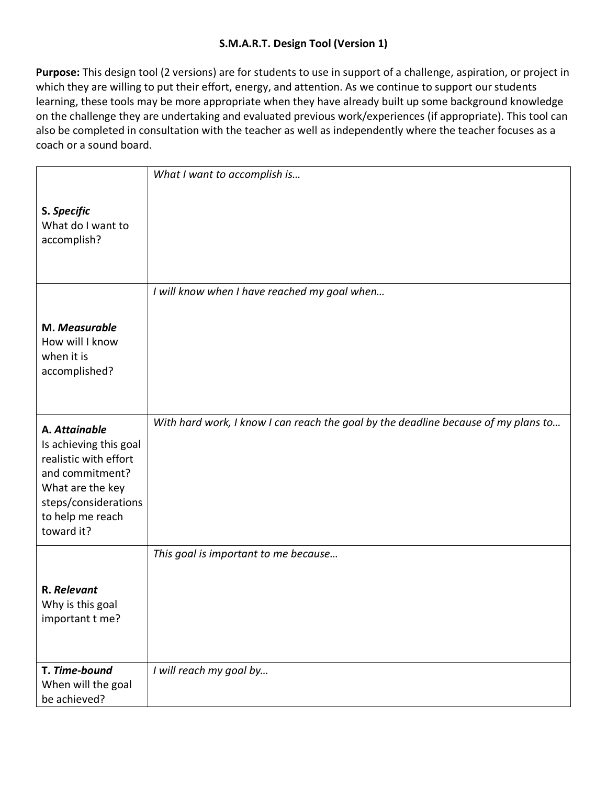**Purpose:** This design tool (2 versions) are for students to use in support of a challenge, aspiration, or project in which they are willing to put their effort, energy, and attention. As we continue to support our students learning, these tools may be more appropriate when they have already built up some background knowledge on the challenge they are undertaking and evaluated previous work/experiences (if appropriate). This tool can also be completed in consultation with the teacher as well as independently where the teacher focuses as a coach or a sound board.

|                                                                                                                                                                   | What I want to accomplish is                                                       |
|-------------------------------------------------------------------------------------------------------------------------------------------------------------------|------------------------------------------------------------------------------------|
| S. Specific<br>What do I want to<br>accomplish?                                                                                                                   |                                                                                    |
|                                                                                                                                                                   | I will know when I have reached my goal when                                       |
| M. Measurable<br>How will I know<br>when it is<br>accomplished?                                                                                                   |                                                                                    |
| A. Attainable<br>Is achieving this goal<br>realistic with effort<br>and commitment?<br>What are the key<br>steps/considerations<br>to help me reach<br>toward it? | With hard work, I know I can reach the goal by the deadline because of my plans to |
| R. Relevant<br>Why is this goal                                                                                                                                   | This goal is important to me because                                               |
| important t me?<br>T. Time-bound<br>When will the goal                                                                                                            | I will reach my goal by                                                            |
| be achieved?                                                                                                                                                      |                                                                                    |